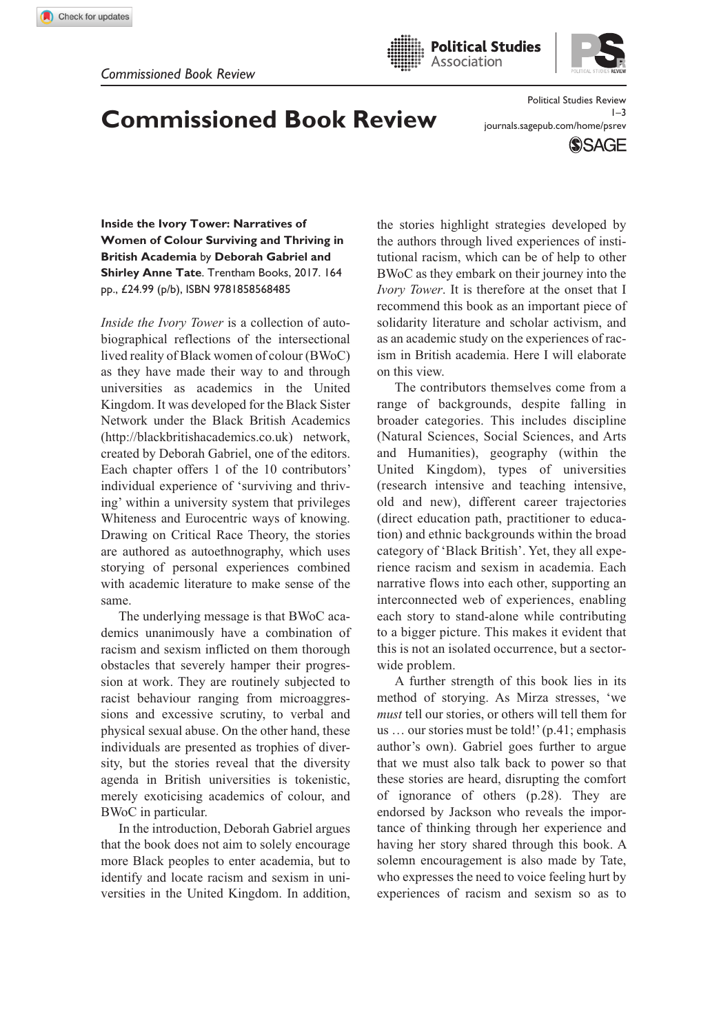**Political Studies** Association



## Commissioned Book Review [journals.sagepub.com/home/psrev](https://journals.sagepub.com/home/psrev)

Political Studies Review **SSAGE** 

**Inside the Ivory Tower: Narratives of Women of Colour Surviving and Thriving in British Academia** by **Deborah Gabriel and Shirley Anne Tate**. Trentham Books, 2017. 164 pp., £24.99 (p/b), ISBN 9781858568485

*Inside the Ivory Tower* is a collection of autobiographical reflections of the intersectional lived reality of Black women of colour (BWoC) as they have made their way to and through universities as academics in the United Kingdom. It was developed for the Black Sister Network under the Black British Academics [\(http://blackbritishacademics.co.uk\)](http://blackbritishacademics.co.uk) network, created by Deborah Gabriel, one of the editors. Each chapter offers 1 of the 10 contributors' individual experience of 'surviving and thriving' within a university system that privileges Whiteness and Eurocentric ways of knowing. Drawing on Critical Race Theory, the stories are authored as autoethnography, which uses storying of personal experiences combined with academic literature to make sense of the same.

The underlying message is that BWoC academics unanimously have a combination of racism and sexism inflicted on them thorough obstacles that severely hamper their progression at work. They are routinely subjected to racist behaviour ranging from microaggressions and excessive scrutiny, to verbal and physical sexual abuse. On the other hand, these individuals are presented as trophies of diversity, but the stories reveal that the diversity agenda in British universities is tokenistic, merely exoticising academics of colour, and BWoC in particular.

In the introduction, Deborah Gabriel argues that the book does not aim to solely encourage more Black peoples to enter academia, but to identify and locate racism and sexism in universities in the United Kingdom. In addition, the stories highlight strategies developed by the authors through lived experiences of institutional racism, which can be of help to other BWoC as they embark on their journey into the *Ivory Tower*. It is therefore at the onset that I recommend this book as an important piece of solidarity literature and scholar activism, and as an academic study on the experiences of racism in British academia. Here I will elaborate on this view.

The contributors themselves come from a range of backgrounds, despite falling in broader categories. This includes discipline (Natural Sciences, Social Sciences, and Arts and Humanities), geography (within the United Kingdom), types of universities (research intensive and teaching intensive, old and new), different career trajectories (direct education path, practitioner to education) and ethnic backgrounds within the broad category of 'Black British'. Yet, they all experience racism and sexism in academia. Each narrative flows into each other, supporting an interconnected web of experiences, enabling each story to stand-alone while contributing to a bigger picture. This makes it evident that this is not an isolated occurrence, but a sectorwide problem.

A further strength of this book lies in its method of storying. As Mirza stresses, 'we *must* tell our stories, or others will tell them for us … our stories must be told!' (p.41; emphasis author's own). Gabriel goes further to argue that we must also talk back to power so that these stories are heard, disrupting the comfort of ignorance of others (p.28). They are endorsed by Jackson who reveals the importance of thinking through her experience and having her story shared through this book. A solemn encouragement is also made by Tate, who expresses the need to voice feeling hurt by experiences of racism and sexism so as to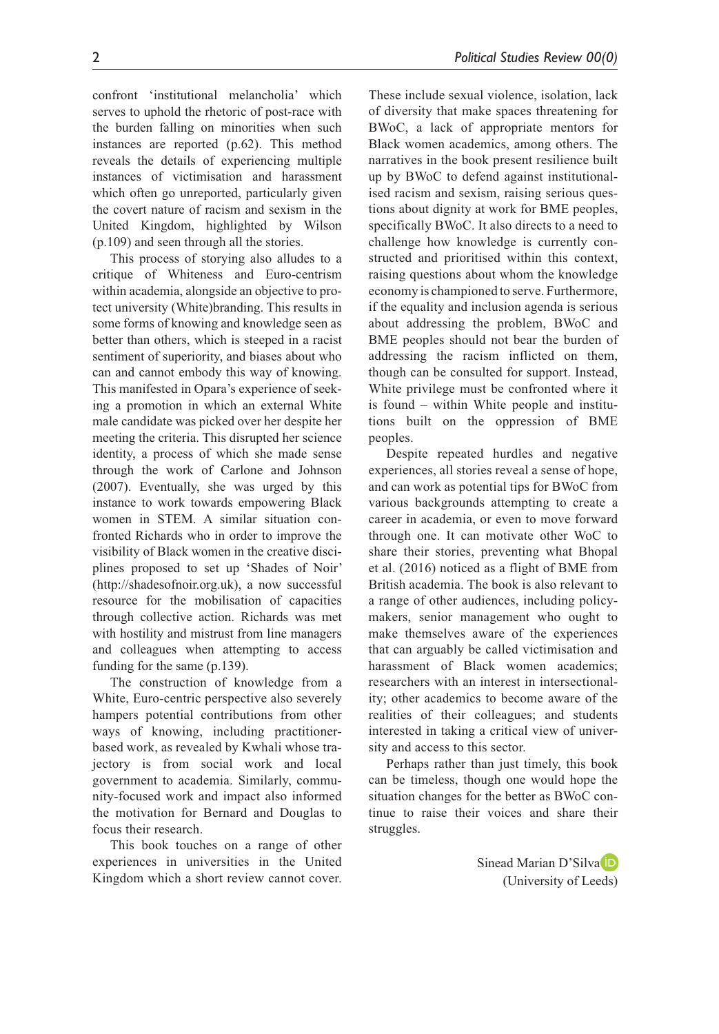confront 'institutional melancholia' which serves to uphold the rhetoric of post-race with the burden falling on minorities when such instances are reported (p.62). This method reveals the details of experiencing multiple instances of victimisation and harassment which often go unreported, particularly given the covert nature of racism and sexism in the United Kingdom, highlighted by Wilson (p.109) and seen through all the stories.

This process of storying also alludes to a critique of Whiteness and Euro-centrism within academia, alongside an objective to protect university (White)branding. This results in some forms of knowing and knowledge seen as better than others, which is steeped in a racist sentiment of superiority, and biases about who can and cannot embody this way of knowing. This manifested in Opara's experience of seeking a promotion in which an external White male candidate was picked over her despite her meeting the criteria. This disrupted her science identity, a process of which she made sense through the work of Carlone and Johnson (2007). Eventually, she was urged by this instance to work towards empowering Black women in STEM. A similar situation confronted Richards who in order to improve the visibility of Black women in the creative disciplines proposed to set up 'Shades of Noir' [\(http://shadesofnoir.org.uk\)](http://shadesofnoir.org.uk), a now successful resource for the mobilisation of capacities through collective action. Richards was met with hostility and mistrust from line managers and colleagues when attempting to access funding for the same (p.139).

The construction of knowledge from a White, Euro-centric perspective also severely hampers potential contributions from other ways of knowing, including practitionerbased work, as revealed by Kwhali whose trajectory is from social work and local government to academia. Similarly, community-focused work and impact also informed the motivation for Bernard and Douglas to focus their research.

This book touches on a range of other experiences in universities in the United Kingdom which a short review cannot cover.

These include sexual violence, isolation, lack of diversity that make spaces threatening for BWoC, a lack of appropriate mentors for Black women academics, among others. The narratives in the book present resilience built up by BWoC to defend against institutionalised racism and sexism, raising serious questions about dignity at work for BME peoples, specifically BWoC. It also directs to a need to challenge how knowledge is currently constructed and prioritised within this context, raising questions about whom the knowledge economy is championed to serve. Furthermore, if the equality and inclusion agenda is serious about addressing the problem, BWoC and BME peoples should not bear the burden of addressing the racism inflicted on them, though can be consulted for support. Instead, White privilege must be confronted where it is found – within White people and institutions built on the oppression of BME peoples.

Despite repeated hurdles and negative experiences, all stories reveal a sense of hope, and can work as potential tips for BWoC from various backgrounds attempting to create a career in academia, or even to move forward through one. It can motivate other WoC to share their stories, preventing what Bhopal et al. (2016) noticed as a flight of BME from British academia. The book is also relevant to a range of other audiences, including policymakers, senior management who ought to make themselves aware of the experiences that can arguably be called victimisation and harassment of Black women academics; researchers with an interest in intersectionality; other academics to become aware of the realities of their colleagues; and students interested in taking a critical view of university and access to this sector.

Perhaps rather than just timely, this book can be timeless, though one would hope the situation changes for the better as BWoC continue to raise their voices and share their struggles.

Sinead Marian D'Silva<sup>D</sup>

(University of Leeds)